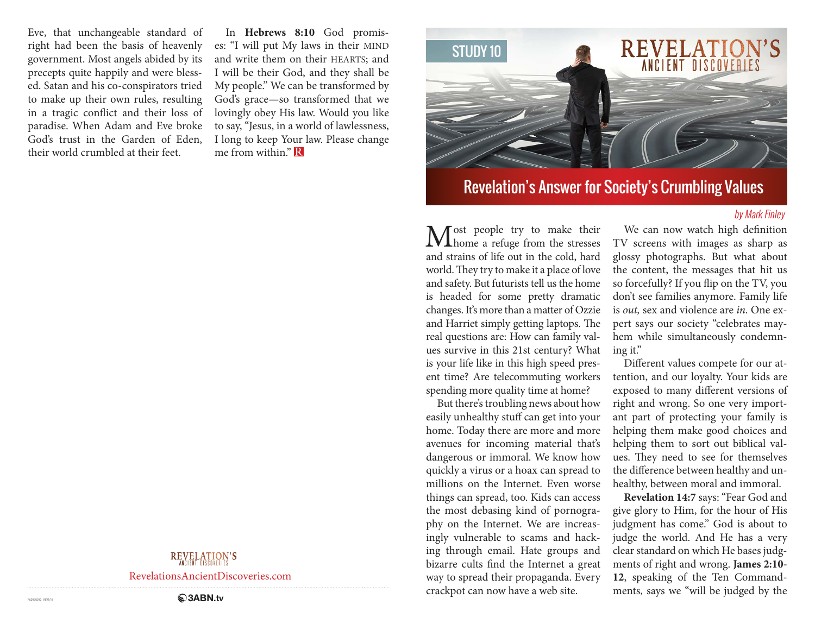Eve, that unchangeable standard of right had been the basis of heavenly government. Most angels abided by its precepts quite happily and were blessed. Satan and his co-conspirators tried to make up their own rules, resulting in a tragic conflict and their loss of paradise. When Adam and Eve broke God's trust in the Garden of Eden, their world crumbled at their feet.

In **Hebrews 8:10** God promises: "I will put My laws in their MIND and write them on their HEARTS; and I will be their God, and they shall be My people." We can be transformed by God's grace—so transformed that we lovingly obey His law. Would you like to say, "Jesus, in a world of lawlessness, I long to keep Your law. Please change me from within." **R** 



# Revelation's Answer for Society's Crumbling Values

### by Mark Finley

Most people try to make their<br>home a refuge from the stresses and strains of life out in the cold, hard world. They try to make it a place of love and safety. But futurists tell us the home is headed for some pretty dramatic changes. It's more than a matter of Ozzie and Harriet simply getting laptops. The real questions are: How can family values survive in this 21st century? What is your life like in this high speed present time? Are telecommuting workers spending more quality time at home?

But there's troubling news about how easily unhealthy stuff can get into your home. Today there are more and more avenues for incoming material that's dangerous or immoral. We know how quickly a virus or a hoax can spread to millions on the Internet. Even worse things can spread, too. Kids can access the most debasing kind of pornography on the Internet. We are increasingly vulnerable to scams and hacking through email. Hate groups and bizarre cults find the Internet a great way to spread their propaganda. Every crackpot can now have a web site.

We can now watch high definition TV screens with images as sharp as glossy photographs. But what about the content, the messages that hit us so forcefully? If you flip on the TV, you don't see families anymore. Family life is *out,* sex and violence are *in*. One expert says our society "celebrates mayhem while simultaneously condemning it."

Different values compete for our attention, and our loyalty. Your kids are exposed to many different versions of right and wrong. So one very important part of protecting your family is helping them make good choices and helping them to sort out biblical values. They need to see for themselves the difference between healthy and unhealthy, between moral and immoral.

**Revelation 14:7** says: "Fear God and give glory to Him, for the hour of His judgment has come." God is about to judge the world. And He has a very clear standard on which He bases judgments of right and wrong. **James 2:10- 12**, speaking of the Ten Commandments, says we "will be judged by the

## REVELATION'S

RevelationsAncientDiscoveries.com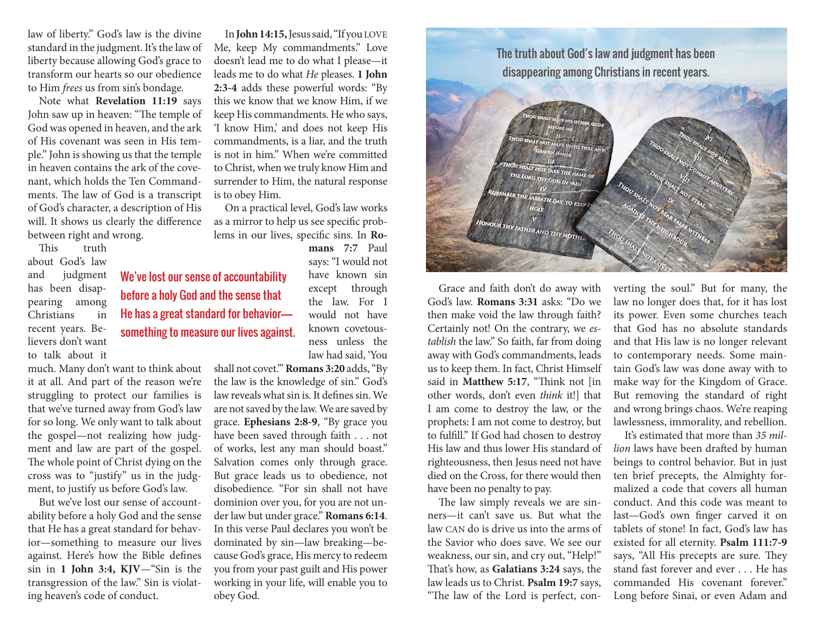law of liberty." God's law is the divine standard in the judgment. It's the law of liberty because allowing God's grace to transform our hearts so our obedience to Him *frees* us from sin's bondage.

Note what **Revelation 11:19** says John saw up in heaven: "The temple of God was opened in heaven, and the ark of His covenant was seen in His temple." John is showing us that the temple in heaven contains the ark of the covenant, which holds the Ten Commandments. The law of God is a transcript of God's character, a description of His will. It shows us clearly the difference between right and wrong.

This truth about God's law and judgment has been disappearing among Christians in recent years. Believers don't want to talk about it

much. Many don't want to think about it at all. And part of the reason we're struggling to protect our families is that we've turned away from God's law for so long. We only want to talk about the gospel—not realizing how judgment and law are part of the gospel. The whole point of Christ dying on the cross was to "justify" us in the judgment, to justify us before God's law.

But we've lost our sense of accountability before a holy God and the sense that He has a great standard for behavior—something to measure our lives against. Here's how the Bible defines sin in **1 John 3:4, KJV**—"Sin is the transgression of the law." Sin is violating heaven's code of conduct.

In **John 14:15,** Jesus said, "If you LOVE Me, keep My commandments." Love doesn't lead me to do what I please—it leads me to do what *He* pleases. **1 John 2:3-4** adds these powerful words: "By this we know that we know Him, if we keep His commandments. He who says, 'I know Him,' and does not keep His commandments, is a liar, and the truth is not in him." When we're committed to Christ, when we truly know Him and surrender to Him, the natural response is to obey Him.

On a practical level, God's law works as a mirror to help us see specific problems in our lives, specific sins. In **Ro-**

We've lost our sense of accountability before a holy God and the sense that He has a great standard for behavior something to measure our lives against.

**mans 7:7** Paul says: "I would not have known sin except through the law. For I would not have known covetousness unless the law had said, 'You

shall not covet.'" **Romans 3:20** adds, "By the law is the knowledge of sin." God's law reveals what sin is. It defines sin. We are not saved by the law. We are saved by grace. **Ephesians 2:8-9**, "By grace you have been saved through faith . . . not of works, lest any man should boast." Salvation comes only through grace. But grace leads us to obedience, not disobedience. "For sin shall not have dominion over you, for you are not under law but under grace." **Romans 6:14**. In this verse Paul declares you won't be dominated by sin—law breaking—because God's grace, His mercy to redeem you from your past guilt and His power working in your life, will enable you to obey God.



Grace and faith don't do away with God's law. **Romans 3:31** asks: "Do we then make void the law through faith? Certainly not! On the contrary, we *establish* the law." So faith, far from doing away with God's commandments, leads us to keep them. In fact, Christ Himself said in **Matthew 5:17**, "Think not [in other words, don't even *think* it!] that I am come to destroy the law, or the prophets: I am not come to destroy, but to fulfill." If God had chosen to destroy His law and thus lower His standard of righteousness, then Jesus need not have died on the Cross, for there would then have been no penalty to pay.

The law simply reveals we are sinners—it can't save us. But what the law CAN do is drive us into the arms of the Savior who does save. We see our weakness, our sin, and cry out, "Help!" That's how, as **Galatians 3:24** says, the law leads us to Christ. **Psalm 19:7** says, "The law of the Lord is perfect, con-

verting the soul." But for many, the law no longer does that, for it has lost its power. Even some churches teach that God has no absolute standards and that His law is no longer relevant to contemporary needs. Some maintain God's law was done away with to make way for the Kingdom of Grace. But removing the standard of right and wrong brings chaos. We're reaping lawlessness, immorality, and rebellion.

It's estimated that more than *35 million* laws have been drafted by human beings to control behavior. But in just ten brief precepts, the Almighty formalized a code that covers all human conduct. And this code was meant to last—God's own finger carved it on tablets of stone! In fact, God's law has existed for all eternity. **Psalm 111:7-9**  says, "All His precepts are sure. They stand fast forever and ever . He has commanded His covenant forever." Long before Sinai, or even Adam and